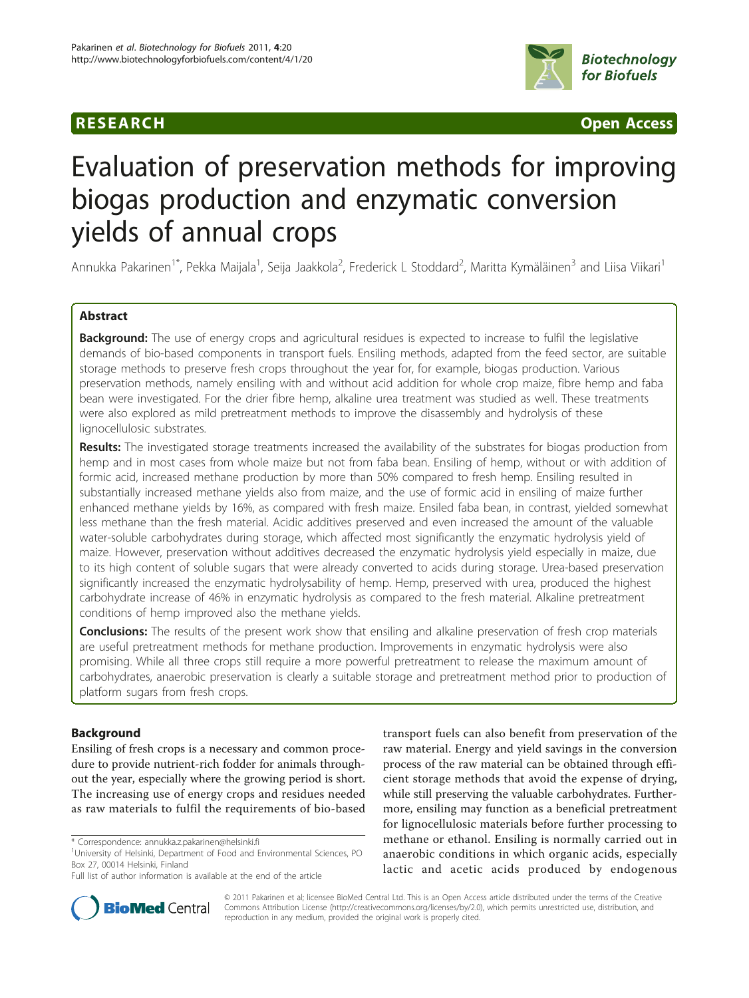

**RESEARCH CONSTRUCTION CONSTRUCTS** 

# Evaluation of preservation methods for improving biogas production and enzymatic conversion yields of annual crops

Annukka Pakarinen<sup>1\*</sup>, Pekka Maijala<sup>1</sup>, Seija Jaakkola<sup>2</sup>, Frederick L Stoddard<sup>2</sup>, Maritta Kymäläinen<sup>3</sup> and Liisa Viikari<sup>1</sup>

# Abstract

Background: The use of energy crops and agricultural residues is expected to increase to fulfil the legislative demands of bio-based components in transport fuels. Ensiling methods, adapted from the feed sector, are suitable storage methods to preserve fresh crops throughout the year for, for example, biogas production. Various preservation methods, namely ensiling with and without acid addition for whole crop maize, fibre hemp and faba bean were investigated. For the drier fibre hemp, alkaline urea treatment was studied as well. These treatments were also explored as mild pretreatment methods to improve the disassembly and hydrolysis of these lignocellulosic substrates.

Results: The investigated storage treatments increased the availability of the substrates for biogas production from hemp and in most cases from whole maize but not from faba bean. Ensiling of hemp, without or with addition of formic acid, increased methane production by more than 50% compared to fresh hemp. Ensiling resulted in substantially increased methane yields also from maize, and the use of formic acid in ensiling of maize further enhanced methane yields by 16%, as compared with fresh maize. Ensiled faba bean, in contrast, yielded somewhat less methane than the fresh material. Acidic additives preserved and even increased the amount of the valuable water-soluble carbohydrates during storage, which affected most significantly the enzymatic hydrolysis yield of maize. However, preservation without additives decreased the enzymatic hydrolysis yield especially in maize, due to its high content of soluble sugars that were already converted to acids during storage. Urea-based preservation significantly increased the enzymatic hydrolysability of hemp. Hemp, preserved with urea, produced the highest carbohydrate increase of 46% in enzymatic hydrolysis as compared to the fresh material. Alkaline pretreatment conditions of hemp improved also the methane yields.

**Conclusions:** The results of the present work show that ensiling and alkaline preservation of fresh crop materials are useful pretreatment methods for methane production. Improvements in enzymatic hydrolysis were also promising. While all three crops still require a more powerful pretreatment to release the maximum amount of carbohydrates, anaerobic preservation is clearly a suitable storage and pretreatment method prior to production of platform sugars from fresh crops.

# Background

Ensiling of fresh crops is a necessary and common procedure to provide nutrient-rich fodder for animals throughout the year, especially where the growing period is short. The increasing use of energy crops and residues needed as raw materials to fulfil the requirements of bio-based

transport fuels can also benefit from preservation of the raw material. Energy and yield savings in the conversion process of the raw material can be obtained through efficient storage methods that avoid the expense of drying, while still preserving the valuable carbohydrates. Furthermore, ensiling may function as a beneficial pretreatment for lignocellulosic materials before further processing to methane or ethanol. Ensiling is normally carried out in anaerobic conditions in which organic acids, especially lactic and acetic acids produced by endogenous



© 2011 Pakarinen et al; licensee BioMed Central Ltd. This is an Open Access article distributed under the terms of the Creative Commons Attribution License [\(http://creativecommons.org/licenses/by/2.0](http://creativecommons.org/licenses/by/2.0)), which permits unrestricted use, distribution, and reproduction in any medium, provided the original work is properly cited.

<sup>\*</sup> Correspondence: [annukka.z.pakarinen@helsinki.fi](mailto:annukka.z.pakarinen@helsinki.fi)

<sup>&</sup>lt;sup>1</sup>University of Helsinki, Department of Food and Environmental Sciences, PO Box 27, 00014 Helsinki, Finland

Full list of author information is available at the end of the article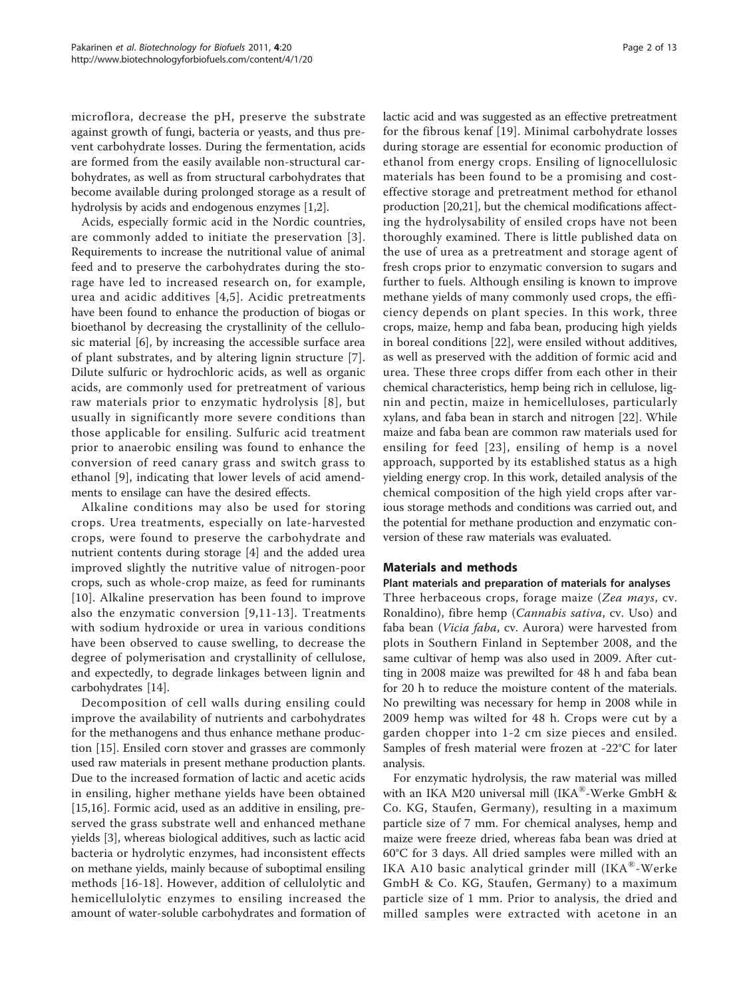microflora, decrease the pH, preserve the substrate against growth of fungi, bacteria or yeasts, and thus prevent carbohydrate losses. During the fermentation, acids are formed from the easily available non-structural carbohydrates, as well as from structural carbohydrates that become available during prolonged storage as a result of hydrolysis by acids and endogenous enzymes [[1,2\]](#page-11-0).

Acids, especially formic acid in the Nordic countries, are commonly added to initiate the preservation [[3\]](#page-11-0). Requirements to increase the nutritional value of animal feed and to preserve the carbohydrates during the storage have led to increased research on, for example, urea and acidic additives [[4,5\]](#page-11-0). Acidic pretreatments have been found to enhance the production of biogas or bioethanol by decreasing the crystallinity of the cellulosic material [[6\]](#page-11-0), by increasing the accessible surface area of plant substrates, and by altering lignin structure [[7](#page-11-0)]. Dilute sulfuric or hydrochloric acids, as well as organic acids, are commonly used for pretreatment of various raw materials prior to enzymatic hydrolysis [[8](#page-11-0)], but usually in significantly more severe conditions than those applicable for ensiling. Sulfuric acid treatment prior to anaerobic ensiling was found to enhance the conversion of reed canary grass and switch grass to ethanol [[9\]](#page-11-0), indicating that lower levels of acid amendments to ensilage can have the desired effects.

Alkaline conditions may also be used for storing crops. Urea treatments, especially on late-harvested crops, were found to preserve the carbohydrate and nutrient contents during storage [\[4](#page-11-0)] and the added urea improved slightly the nutritive value of nitrogen-poor crops, such as whole-crop maize, as feed for ruminants [[10](#page-11-0)]. Alkaline preservation has been found to improve also the enzymatic conversion [[9](#page-11-0),[11](#page-11-0)-[13\]](#page-11-0). Treatments with sodium hydroxide or urea in various conditions have been observed to cause swelling, to decrease the degree of polymerisation and crystallinity of cellulose, and expectedly, to degrade linkages between lignin and carbohydrates [[14\]](#page-11-0).

Decomposition of cell walls during ensiling could improve the availability of nutrients and carbohydrates for the methanogens and thus enhance methane production [\[15](#page-11-0)]. Ensiled corn stover and grasses are commonly used raw materials in present methane production plants. Due to the increased formation of lactic and acetic acids in ensiling, higher methane yields have been obtained [[15,16](#page-11-0)]. Formic acid, used as an additive in ensiling, preserved the grass substrate well and enhanced methane yields [[3\]](#page-11-0), whereas biological additives, such as lactic acid bacteria or hydrolytic enzymes, had inconsistent effects on methane yields, mainly because of suboptimal ensiling methods [[16-18\]](#page-11-0). However, addition of cellulolytic and hemicellulolytic enzymes to ensiling increased the amount of water-soluble carbohydrates and formation of lactic acid and was suggested as an effective pretreatment for the fibrous kenaf [[19](#page-11-0)]. Minimal carbohydrate losses during storage are essential for economic production of ethanol from energy crops. Ensiling of lignocellulosic materials has been found to be a promising and costeffective storage and pretreatment method for ethanol production [\[20,21](#page-11-0)], but the chemical modifications affecting the hydrolysability of ensiled crops have not been thoroughly examined. There is little published data on the use of urea as a pretreatment and storage agent of fresh crops prior to enzymatic conversion to sugars and further to fuels. Although ensiling is known to improve methane yields of many commonly used crops, the efficiency depends on plant species. In this work, three crops, maize, hemp and faba bean, producing high yields in boreal conditions [\[22](#page-12-0)], were ensiled without additives, as well as preserved with the addition of formic acid and urea. These three crops differ from each other in their chemical characteristics, hemp being rich in cellulose, lignin and pectin, maize in hemicelluloses, particularly xylans, and faba bean in starch and nitrogen [\[22](#page-12-0)]. While maize and faba bean are common raw materials used for ensiling for feed [[23\]](#page-12-0), ensiling of hemp is a novel approach, supported by its established status as a high yielding energy crop. In this work, detailed analysis of the chemical composition of the high yield crops after various storage methods and conditions was carried out, and the potential for methane production and enzymatic conversion of these raw materials was evaluated.

# Materials and methods

#### Plant materials and preparation of materials for analyses

Three herbaceous crops, forage maize (Zea mays, cv. Ronaldino), fibre hemp (Cannabis sativa, cv. Uso) and faba bean (Vicia faba, cv. Aurora) were harvested from plots in Southern Finland in September 2008, and the same cultivar of hemp was also used in 2009. After cutting in 2008 maize was prewilted for 48 h and faba bean for 20 h to reduce the moisture content of the materials. No prewilting was necessary for hemp in 2008 while in 2009 hemp was wilted for 48 h. Crops were cut by a garden chopper into 1-2 cm size pieces and ensiled. Samples of fresh material were frozen at -22°C for later analysis.

For enzymatic hydrolysis, the raw material was milled with an IKA M20 universal mill (IKA®-Werke GmbH & Co. KG, Staufen, Germany), resulting in a maximum particle size of 7 mm. For chemical analyses, hemp and maize were freeze dried, whereas faba bean was dried at 60°C for 3 days. All dried samples were milled with an IKA A10 basic analytical grinder mill (IKA®-Werke GmbH & Co. KG, Staufen, Germany) to a maximum particle size of 1 mm. Prior to analysis, the dried and milled samples were extracted with acetone in an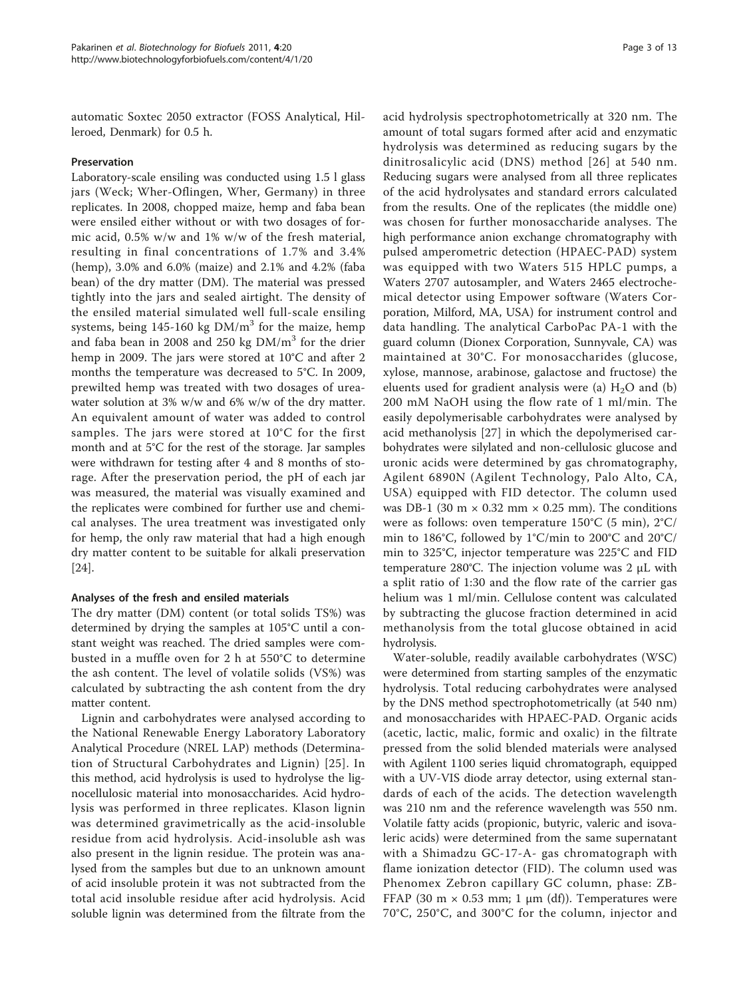automatic Soxtec 2050 extractor (FOSS Analytical, Hilleroed, Denmark) for 0.5 h.

#### Preservation

Laboratory-scale ensiling was conducted using 1.5 l glass jars (Weck; Wher-Oflingen, Wher, Germany) in three replicates. In 2008, chopped maize, hemp and faba bean were ensiled either without or with two dosages of formic acid, 0.5% w/w and 1% w/w of the fresh material, resulting in final concentrations of 1.7% and 3.4% (hemp), 3.0% and 6.0% (maize) and 2.1% and 4.2% (faba bean) of the dry matter (DM). The material was pressed tightly into the jars and sealed airtight. The density of the ensiled material simulated well full-scale ensiling systems, being  $145-160 \text{ kg} \text{DM/m}^3$  for the maize, hemp and faba bean in 2008 and 250 kg  $DM/m<sup>3</sup>$  for the drier hemp in 2009. The jars were stored at 10°C and after 2 months the temperature was decreased to 5°C. In 2009, prewilted hemp was treated with two dosages of ureawater solution at 3% w/w and 6% w/w of the dry matter. An equivalent amount of water was added to control samples. The jars were stored at 10°C for the first month and at 5°C for the rest of the storage. Jar samples were withdrawn for testing after 4 and 8 months of storage. After the preservation period, the pH of each jar was measured, the material was visually examined and the replicates were combined for further use and chemical analyses. The urea treatment was investigated only for hemp, the only raw material that had a high enough dry matter content to be suitable for alkali preservation [[24\]](#page-12-0).

# Analyses of the fresh and ensiled materials

The dry matter (DM) content (or total solids TS%) was determined by drying the samples at 105°C until a constant weight was reached. The dried samples were combusted in a muffle oven for 2 h at 550°C to determine the ash content. The level of volatile solids (VS%) was calculated by subtracting the ash content from the dry matter content.

Lignin and carbohydrates were analysed according to the National Renewable Energy Laboratory Laboratory Analytical Procedure (NREL LAP) methods (Determination of Structural Carbohydrates and Lignin) [[25\]](#page-12-0). In this method, acid hydrolysis is used to hydrolyse the lignocellulosic material into monosaccharides. Acid hydrolysis was performed in three replicates. Klason lignin was determined gravimetrically as the acid-insoluble residue from acid hydrolysis. Acid-insoluble ash was also present in the lignin residue. The protein was analysed from the samples but due to an unknown amount of acid insoluble protein it was not subtracted from the total acid insoluble residue after acid hydrolysis. Acid soluble lignin was determined from the filtrate from the acid hydrolysis spectrophotometrically at 320 nm. The amount of total sugars formed after acid and enzymatic hydrolysis was determined as reducing sugars by the dinitrosalicylic acid (DNS) method [[26](#page-12-0)] at 540 nm. Reducing sugars were analysed from all three replicates of the acid hydrolysates and standard errors calculated from the results. One of the replicates (the middle one) was chosen for further monosaccharide analyses. The high performance anion exchange chromatography with pulsed amperometric detection (HPAEC-PAD) system was equipped with two Waters 515 HPLC pumps, a Waters 2707 autosampler, and Waters 2465 electrochemical detector using Empower software (Waters Corporation, Milford, MA, USA) for instrument control and data handling. The analytical CarboPac PA-1 with the guard column (Dionex Corporation, Sunnyvale, CA) was maintained at 30°C. For monosaccharides (glucose, xylose, mannose, arabinose, galactose and fructose) the eluents used for gradient analysis were (a)  $H_2O$  and (b) 200 mM NaOH using the flow rate of 1 ml/min. The easily depolymerisable carbohydrates were analysed by acid methanolysis [[27\]](#page-12-0) in which the depolymerised carbohydrates were silylated and non-cellulosic glucose and uronic acids were determined by gas chromatography, Agilent 6890N (Agilent Technology, Palo Alto, CA, USA) equipped with FID detector. The column used was DB-1 (30 m  $\times$  0.32 mm  $\times$  0.25 mm). The conditions were as follows: oven temperature 150°C (5 min), 2°C/ min to 186°C, followed by 1°C/min to 200°C and 20°C/ min to 325°C, injector temperature was 225°C and FID temperature 280°C. The injection volume was 2 μL with a split ratio of 1:30 and the flow rate of the carrier gas helium was 1 ml/min. Cellulose content was calculated by subtracting the glucose fraction determined in acid methanolysis from the total glucose obtained in acid hydrolysis.

Water-soluble, readily available carbohydrates (WSC) were determined from starting samples of the enzymatic hydrolysis. Total reducing carbohydrates were analysed by the DNS method spectrophotometrically (at 540 nm) and monosaccharides with HPAEC-PAD. Organic acids (acetic, lactic, malic, formic and oxalic) in the filtrate pressed from the solid blended materials were analysed with Agilent 1100 series liquid chromatograph, equipped with a UV-VIS diode array detector, using external standards of each of the acids. The detection wavelength was 210 nm and the reference wavelength was 550 nm. Volatile fatty acids (propionic, butyric, valeric and isovaleric acids) were determined from the same supernatant with a Shimadzu GC-17-A- gas chromatograph with flame ionization detector (FID). The column used was Phenomex Zebron capillary GC column, phase: ZB-FFAP (30 m  $\times$  0.53 mm; 1 µm (df)). Temperatures were 70°C, 250°C, and 300°C for the column, injector and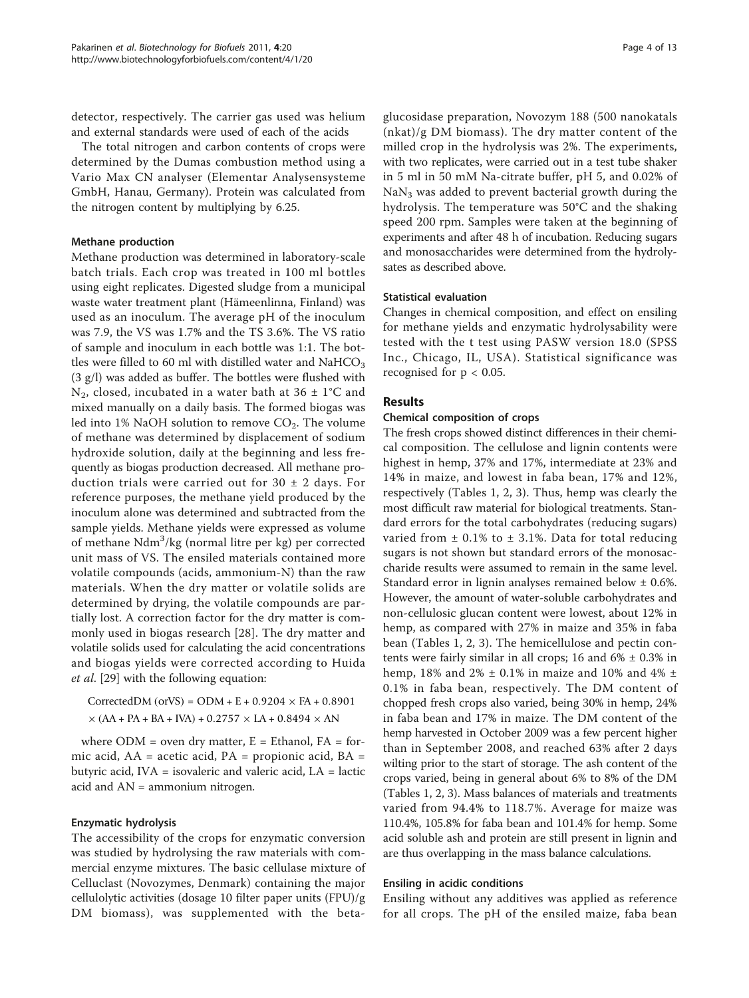detector, respectively. The carrier gas used was helium and external standards were used of each of the acids

The total nitrogen and carbon contents of crops were determined by the Dumas combustion method using a Vario Max CN analyser (Elementar Analysensysteme GmbH, Hanau, Germany). Protein was calculated from the nitrogen content by multiplying by 6.25.

#### Methane production

Methane production was determined in laboratory-scale batch trials. Each crop was treated in 100 ml bottles using eight replicates. Digested sludge from a municipal waste water treatment plant (Hämeenlinna, Finland) was used as an inoculum. The average pH of the inoculum was 7.9, the VS was 1.7% and the TS 3.6%. The VS ratio of sample and inoculum in each bottle was 1:1. The bottles were filled to 60 ml with distilled water and  $NAHCO<sub>3</sub>$ (3 g/l) was added as buffer. The bottles were flushed with  $N_2$ , closed, incubated in a water bath at 36  $\pm$  1°C and mixed manually on a daily basis. The formed biogas was led into 1% NaOH solution to remove CO<sub>2</sub>. The volume of methane was determined by displacement of sodium hydroxide solution, daily at the beginning and less frequently as biogas production decreased. All methane production trials were carried out for  $30 \pm 2$  days. For reference purposes, the methane yield produced by the inoculum alone was determined and subtracted from the sample yields. Methane yields were expressed as volume of methane Ndm<sup>3</sup>/kg (normal litre per kg) per corrected unit mass of VS. The ensiled materials contained more volatile compounds (acids, ammonium-N) than the raw materials. When the dry matter or volatile solids are determined by drying, the volatile compounds are partially lost. A correction factor for the dry matter is commonly used in biogas research [[28\]](#page-12-0). The dry matter and volatile solids used for calculating the acid concentrations and biogas yields were corrected according to Huida et al. [[29](#page-12-0)] with the following equation:

CorrectedDM  $(orVS) = ODM + E + 0.9204 \times FA + 0.8901$  $\times$  (AA + PA + BA + IVA) + 0.2757  $\times$  LA + 0.8494  $\times$  AN

where  $ODM =$  oven dry matter,  $E =$  Ethanol,  $FA =$  formic acid, AA = acetic acid, PA = propionic acid, BA = butyric acid,  $IVA = isovaleric$  and valeric acid,  $LA = lactic$ acid and AN = ammonium nitrogen.

#### Enzymatic hydrolysis

The accessibility of the crops for enzymatic conversion was studied by hydrolysing the raw materials with commercial enzyme mixtures. The basic cellulase mixture of Celluclast (Novozymes, Denmark) containing the major cellulolytic activities (dosage 10 filter paper units (FPU)/g DM biomass), was supplemented with the beta-

glucosidase preparation, Novozym 188 (500 nanokatals (nkat)/g DM biomass). The dry matter content of the milled crop in the hydrolysis was 2%. The experiments, with two replicates, were carried out in a test tube shaker in 5 ml in 50 mM Na-citrate buffer, pH 5, and 0.02% of  $NaN<sub>3</sub>$  was added to prevent bacterial growth during the hydrolysis. The temperature was 50°C and the shaking speed 200 rpm. Samples were taken at the beginning of experiments and after 48 h of incubation. Reducing sugars and monosaccharides were determined from the hydrolysates as described above.

# Statistical evaluation

Changes in chemical composition, and effect on ensiling for methane yields and enzymatic hydrolysability were tested with the t test using PASW version 18.0 (SPSS Inc., Chicago, IL, USA). Statistical significance was recognised for  $p < 0.05$ .

# Results

#### Chemical composition of crops

The fresh crops showed distinct differences in their chemical composition. The cellulose and lignin contents were highest in hemp, 37% and 17%, intermediate at 23% and 14% in maize, and lowest in faba bean, 17% and 12%, respectively (Tables [1, 2](#page-4-0), [3\)](#page-5-0). Thus, hemp was clearly the most difficult raw material for biological treatments. Standard errors for the total carbohydrates (reducing sugars) varied from  $\pm$  0.1% to  $\pm$  3.1%. Data for total reducing sugars is not shown but standard errors of the monosaccharide results were assumed to remain in the same level. Standard error in lignin analyses remained below ± 0.6%. However, the amount of water-soluble carbohydrates and non-cellulosic glucan content were lowest, about 12% in hemp, as compared with 27% in maize and 35% in faba bean (Tables [1, 2,](#page-4-0) [3\)](#page-5-0). The hemicellulose and pectin contents were fairly similar in all crops; 16 and  $6\% \pm 0.3\%$  in hemp, 18% and 2%  $\pm$  0.1% in maize and 10% and 4%  $\pm$ 0.1% in faba bean, respectively. The DM content of chopped fresh crops also varied, being 30% in hemp, 24% in faba bean and 17% in maize. The DM content of the hemp harvested in October 2009 was a few percent higher than in September 2008, and reached 63% after 2 days wilting prior to the start of storage. The ash content of the crops varied, being in general about 6% to 8% of the DM (Tables [1, 2](#page-4-0), [3\)](#page-5-0). Mass balances of materials and treatments varied from 94.4% to 118.7%. Average for maize was 110.4%, 105.8% for faba bean and 101.4% for hemp. Some acid soluble ash and protein are still present in lignin and are thus overlapping in the mass balance calculations.

#### Ensiling in acidic conditions

Ensiling without any additives was applied as reference for all crops. The pH of the ensiled maize, faba bean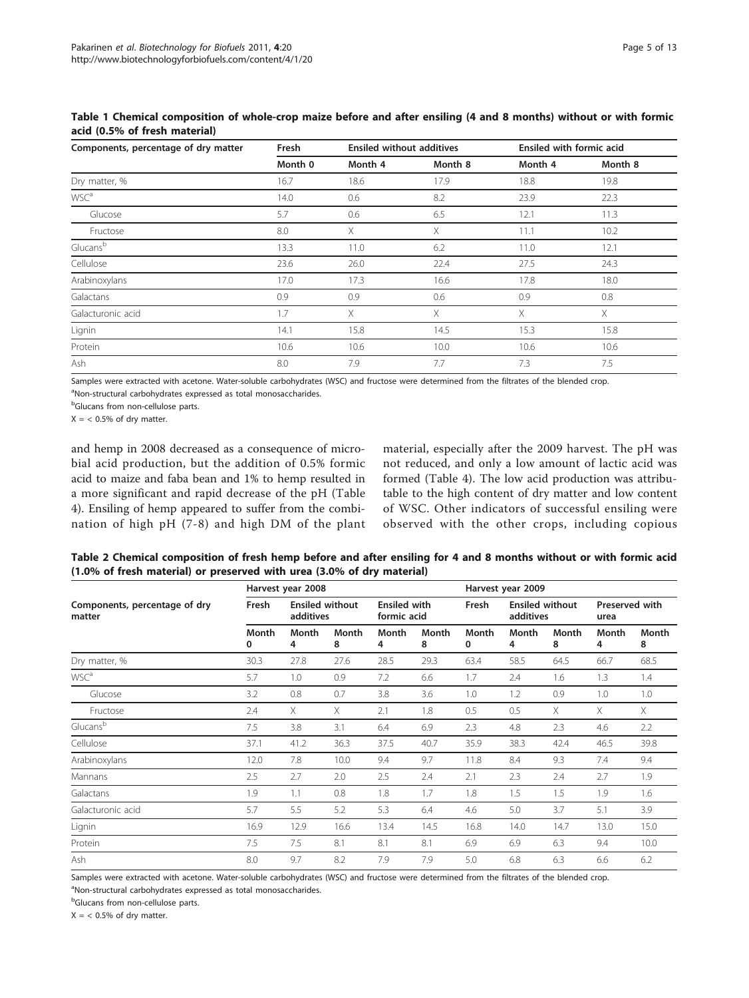| Components, percentage of dry matter | Fresh   | <b>Ensiled without additives</b> |         | Ensiled with formic acid |          |  |
|--------------------------------------|---------|----------------------------------|---------|--------------------------|----------|--|
|                                      | Month 0 | Month 4                          | Month 8 | Month 4                  | Month 8  |  |
| Dry matter, %                        | 16.7    | 18.6                             | 17.9    | 18.8                     | 19.8     |  |
| <b>WSC<sup>a</sup></b>               | 14.0    | 0.6                              | 8.2     | 23.9                     | 22.3     |  |
| Glucose                              | 5.7     | 0.6                              | 6.5     | 12.1                     | 11.3     |  |
| Fructose                             | 8.0     | X                                | X       | 11.1                     | 10.2     |  |
| Glucansb                             | 13.3    | 11.0                             | 6.2     | 11.0                     | 12.1     |  |
| Cellulose                            | 23.6    | 26.0                             | 22.4    | 27.5                     | 24.3     |  |
| Arabinoxylans                        | 17.0    | 17.3                             | 16.6    | 17.8                     | 18.0     |  |
| Galactans                            | 0.9     | 0.9                              | 0.6     | 0.9                      | 0.8      |  |
| Galacturonic acid                    | 1.7     | X                                | X       | $\times$                 | $\times$ |  |
| Lignin                               | 14.1    | 15.8                             | 14.5    | 15.3                     | 15.8     |  |
| Protein                              | 10.6    | 10.6                             | 10.0    | 10.6                     | 10.6     |  |
| Ash                                  | 8.0     | 7.9                              | 7.7     | 7.3                      | 7.5      |  |

<span id="page-4-0"></span>Table 1 Chemical composition of whole-crop maize before and after ensiling (4 and 8 months) without or with formic acid (0.5% of fresh material)

Samples were extracted with acetone. Water-soluble carbohydrates (WSC) and fructose were determined from the filtrates of the blended crop. <sup>a</sup>Non-structural carbohydrates expressed as total monosaccharides.

<sup>b</sup>Glucans from non-cellulose parts.

 $X = < 0.5\%$  of dry matter.

and hemp in 2008 decreased as a consequence of microbial acid production, but the addition of 0.5% formic acid to maize and faba bean and 1% to hemp resulted in a more significant and rapid decrease of the pH (Table [4\)](#page-6-0). Ensiling of hemp appeared to suffer from the combination of high pH (7-8) and high DM of the plant material, especially after the 2009 harvest. The pH was not reduced, and only a low amount of lactic acid was formed (Table [4\)](#page-6-0). The low acid production was attributable to the high content of dry matter and low content of WSC. Other indicators of successful ensiling were observed with the other crops, including copious

Table 2 Chemical composition of fresh hemp before and after ensiling for 4 and 8 months without or with formic acid (1.0% of fresh material) or preserved with urea (3.0% of dry material)

|                                         | Harvest year 2008 |                                     |            |                                    |            | Harvest year 2009 |                                     |            |                               |            |
|-----------------------------------------|-------------------|-------------------------------------|------------|------------------------------------|------------|-------------------|-------------------------------------|------------|-------------------------------|------------|
| Components, percentage of dry<br>matter | Fresh             | <b>Ensiled without</b><br>additives |            | <b>Ensiled with</b><br>formic acid |            | Fresh             | <b>Ensiled without</b><br>additives |            | <b>Preserved with</b><br>urea |            |
|                                         | Month<br>0        | Month<br>4                          | Month<br>8 | Month<br>4                         | Month<br>8 | Month<br>0        | Month<br>4                          | Month<br>8 | Month<br>4                    | Month<br>8 |
| Dry matter, %                           | 30.3              | 27.8                                | 27.6       | 28.5                               | 29.3       | 63.4              | 58.5                                | 64.5       | 66.7                          | 68.5       |
| <b>WSC<sup>a</sup></b>                  | 5.7               | 1.0                                 | 0.9        | 7.2                                | 6.6        | 1.7               | 2.4                                 | 1.6        | 1.3                           | 1.4        |
| Glucose                                 | 3.2               | 0.8                                 | 0.7        | 3.8                                | 3.6        | 1.0               | 1.2                                 | 0.9        | 1.0                           | 1.0        |
| Fructose                                | 2.4               | X                                   | X          | 2.1                                | 1.8        | 0.5               | 0.5                                 | X          | X                             | Χ          |
| Glucansb                                | 7.5               | 3.8                                 | 3.1        | 6.4                                | 6.9        | 2.3               | 4.8                                 | 2.3        | 4.6                           | 2.2        |
| Cellulose                               | 37.1              | 41.2                                | 36.3       | 37.5                               | 40.7       | 35.9              | 38.3                                | 42.4       | 46.5                          | 39.8       |
| Arabinoxylans                           | 12.0              | 7.8                                 | 10.0       | 9.4                                | 9.7        | 11.8              | 8.4                                 | 9.3        | 7.4                           | 9.4        |
| Mannans                                 | 2.5               | 2.7                                 | 2.0        | 2.5                                | 2.4        | 2.1               | 2.3                                 | 2.4        | 2.7                           | 1.9        |
| Galactans                               | 1.9               | 1.1                                 | 0.8        | 1.8                                | 1.7        | 1.8               | 1.5                                 | 1.5        | 1.9                           | 1.6        |
| Galacturonic acid                       | 5.7               | 5.5                                 | 5.2        | 5.3                                | 6.4        | 4.6               | 5.0                                 | 3.7        | 5.1                           | 3.9        |
| Lignin                                  | 16.9              | 12.9                                | 16.6       | 13.4                               | 14.5       | 16.8              | 14.0                                | 14.7       | 13.0                          | 15.0       |
| Protein                                 | 7.5               | 7.5                                 | 8.1        | 8.1                                | 8.1        | 6.9               | 6.9                                 | 6.3        | 9.4                           | 10.0       |
| Ash                                     | 8.0               | 9.7                                 | 8.2        | 7.9                                | 7.9        | 5.0               | 6.8                                 | 6.3        | 6.6                           | 6.2        |

Samples were extracted with acetone. Water-soluble carbohydrates (WSC) and fructose were determined from the filtrates of the blended crop.

<sup>a</sup>Non-structural carbohydrates expressed as total monosaccharides.

<sup>b</sup>Glucans from non-cellulose parts.

 $X = < 0.5\%$  of dry matter.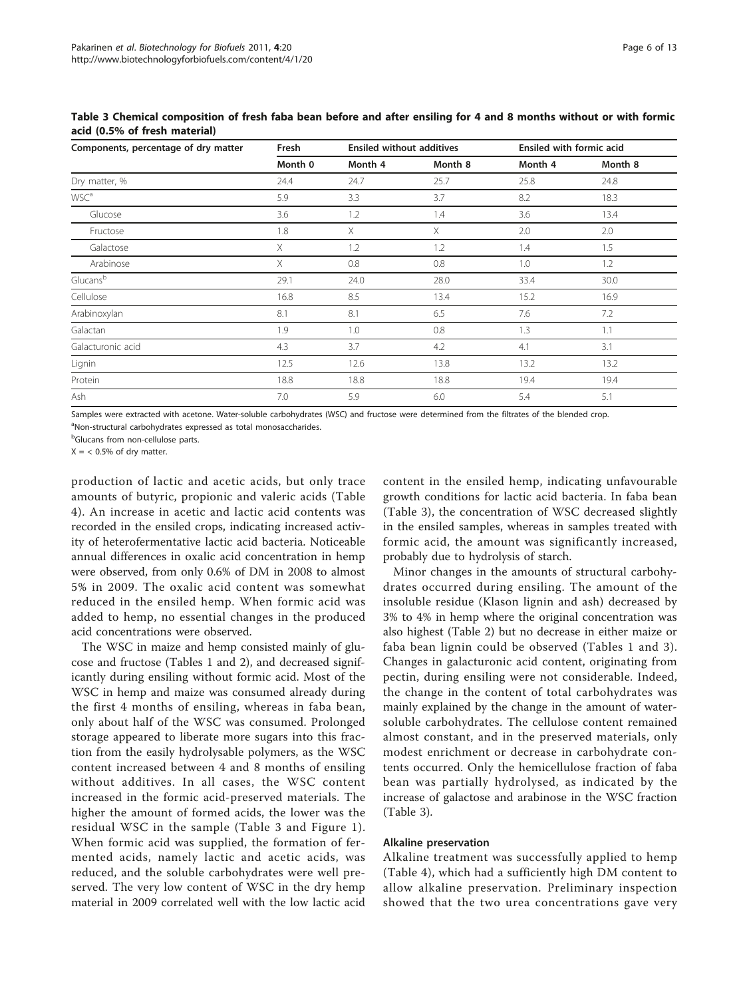| Components, percentage of dry matter | Fresh   | <b>Ensiled without additives</b> |         | Ensiled with formic acid |         |  |
|--------------------------------------|---------|----------------------------------|---------|--------------------------|---------|--|
|                                      | Month 0 | Month 4                          | Month 8 | Month 4                  | Month 8 |  |
| Dry matter, %                        | 24.4    | 24.7                             | 25.7    | 25.8                     | 24.8    |  |
| <b>WSC<sup>a</sup></b>               | 5.9     | 3.3                              | 3.7     | 8.2                      | 18.3    |  |
| Glucose                              | 3.6     | 1.2                              | 1.4     | 3.6                      | 13.4    |  |
| Fructose                             | 1.8     | X                                | X       | 2.0                      | 2.0     |  |
| Galactose                            | X       | 1.2                              | 1.2     | 1.4                      | 1.5     |  |
| Arabinose                            | X       | 0.8                              | 0.8     | 1.0                      | 1.2     |  |
| Glucansb                             | 29.1    | 24.0                             | 28.0    | 33.4                     | 30.0    |  |
| Cellulose                            | 16.8    | 8.5                              | 13.4    | 15.2                     | 16.9    |  |
| Arabinoxylan                         | 8.1     | 8.1                              | 6.5     | 7.6                      | 7.2     |  |
| Galactan                             | 1.9     | 1.0                              | 0.8     | 1.3                      | 1.1     |  |
| Galacturonic acid                    | 4.3     | 3.7                              | 4.2     | 4.1                      | 3.1     |  |
| Lignin                               | 12.5    | 12.6                             | 13.8    | 13.2                     | 13.2    |  |
| Protein                              | 18.8    | 18.8                             | 18.8    | 19.4                     | 19.4    |  |
| Ash                                  | 7.0     | 5.9                              | 6.0     | 5.4                      | 5.1     |  |

<span id="page-5-0"></span>Table 3 Chemical composition of fresh faba bean before and after ensiling for 4 and 8 months without or with formic acid (0.5% of fresh material)

Samples were extracted with acetone. Water-soluble carbohydrates (WSC) and fructose were determined from the filtrates of the blended crop. <sup>a</sup>Non-structural carbohydrates expressed as total monosaccharides.

<sup>b</sup>Glucans from non-cellulose parts.

 $X = < 0.5\%$  of dry matter.

production of lactic and acetic acids, but only trace amounts of butyric, propionic and valeric acids (Table [4\)](#page-6-0). An increase in acetic and lactic acid contents was recorded in the ensiled crops, indicating increased activity of heterofermentative lactic acid bacteria. Noticeable annual differences in oxalic acid concentration in hemp were observed, from only 0.6% of DM in 2008 to almost 5% in 2009. The oxalic acid content was somewhat reduced in the ensiled hemp. When formic acid was added to hemp, no essential changes in the produced acid concentrations were observed.

The WSC in maize and hemp consisted mainly of glucose and fructose (Tables [1](#page-4-0) and [2\)](#page-4-0), and decreased significantly during ensiling without formic acid. Most of the WSC in hemp and maize was consumed already during the first 4 months of ensiling, whereas in faba bean, only about half of the WSC was consumed. Prolonged storage appeared to liberate more sugars into this fraction from the easily hydrolysable polymers, as the WSC content increased between 4 and 8 months of ensiling without additives. In all cases, the WSC content increased in the formic acid-preserved materials. The higher the amount of formed acids, the lower was the residual WSC in the sample (Table 3 and Figure [1\)](#page-7-0). When formic acid was supplied, the formation of fermented acids, namely lactic and acetic acids, was reduced, and the soluble carbohydrates were well preserved. The very low content of WSC in the dry hemp material in 2009 correlated well with the low lactic acid

content in the ensiled hemp, indicating unfavourable growth conditions for lactic acid bacteria. In faba bean (Table 3), the concentration of WSC decreased slightly in the ensiled samples, whereas in samples treated with formic acid, the amount was significantly increased, probably due to hydrolysis of starch.

Minor changes in the amounts of structural carbohydrates occurred during ensiling. The amount of the insoluble residue (Klason lignin and ash) decreased by 3% to 4% in hemp where the original concentration was also highest (Table [2](#page-4-0)) but no decrease in either maize or faba bean lignin could be observed (Tables [1](#page-4-0) and 3). Changes in galacturonic acid content, originating from pectin, during ensiling were not considerable. Indeed, the change in the content of total carbohydrates was mainly explained by the change in the amount of watersoluble carbohydrates. The cellulose content remained almost constant, and in the preserved materials, only modest enrichment or decrease in carbohydrate contents occurred. Only the hemicellulose fraction of faba bean was partially hydrolysed, as indicated by the increase of galactose and arabinose in the WSC fraction (Table 3).

# Alkaline preservation

Alkaline treatment was successfully applied to hemp (Table [4](#page-6-0)), which had a sufficiently high DM content to allow alkaline preservation. Preliminary inspection showed that the two urea concentrations gave very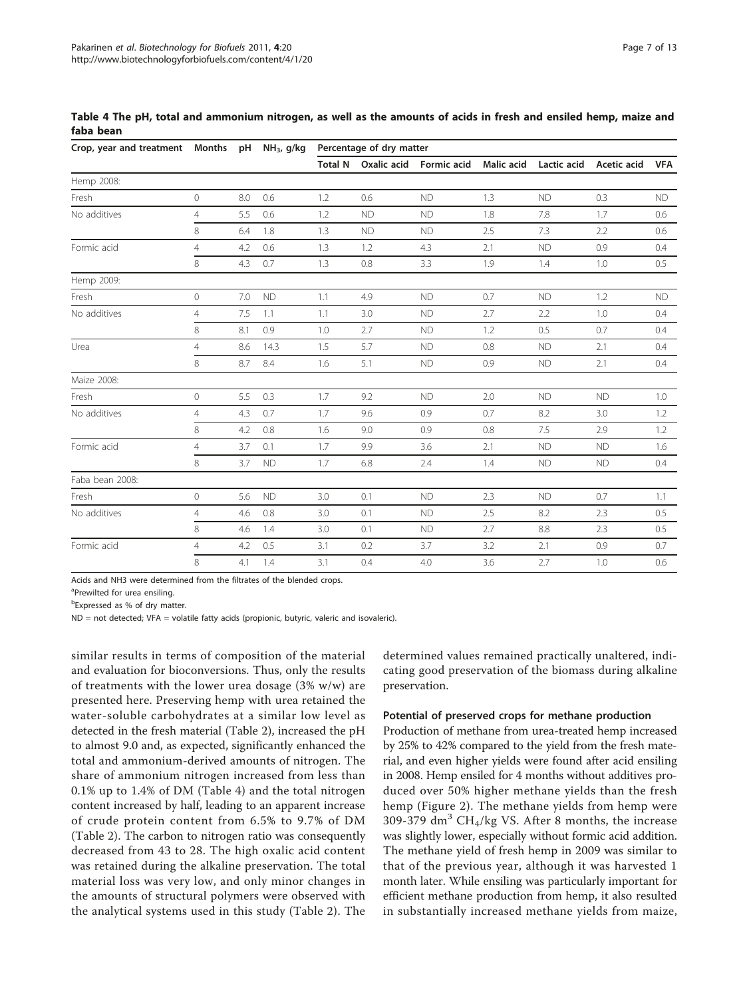|                 |                |     |           | Crop, year and treatment Months pH NH <sub>3</sub> , g/kg Percentage of dry matter |           |                                                            |     |           |           |            |  |
|-----------------|----------------|-----|-----------|------------------------------------------------------------------------------------|-----------|------------------------------------------------------------|-----|-----------|-----------|------------|--|
|                 |                |     |           | <b>Total N</b>                                                                     |           | Oxalic acid Formic acid Malic acid Lactic acid Acetic acid |     |           |           | <b>VFA</b> |  |
| Hemp 2008:      |                |     |           |                                                                                    |           |                                                            |     |           |           |            |  |
| Fresh           | $\circ$        | 8.0 | 0.6       | 1.2                                                                                | 0.6       | <b>ND</b>                                                  | 1.3 | <b>ND</b> | 0.3       | <b>ND</b>  |  |
| No additives    | $\overline{4}$ | 5.5 | 0.6       | 1.2                                                                                | <b>ND</b> | <b>ND</b>                                                  | 1.8 | 7.8       | 1.7       | 0.6        |  |
|                 | 8              | 6.4 | 1.8       | 1.3                                                                                | <b>ND</b> | <b>ND</b>                                                  | 2.5 | 7.3       | 2.2       | 0.6        |  |
| Formic acid     | 4              | 4.2 | 0.6       | 1.3                                                                                | 1.2       | 4.3                                                        | 2.1 | <b>ND</b> | 0.9       | 0.4        |  |
|                 | 8              | 4.3 | 0.7       | 1.3                                                                                | 0.8       | 3.3                                                        | 1.9 | 1.4       | 1.0       | 0.5        |  |
| Hemp 2009:      |                |     |           |                                                                                    |           |                                                            |     |           |           |            |  |
| Fresh           | 0              | 7.0 | <b>ND</b> | 1.1                                                                                | 4.9       | <b>ND</b>                                                  | 0.7 | <b>ND</b> | 1.2       | <b>ND</b>  |  |
| No additives    | $\overline{4}$ | 7.5 | 1.1       | 1.1                                                                                | 3.0       | <b>ND</b>                                                  | 2.7 | 2.2       | 1.0       | 0.4        |  |
|                 | 8              | 8.1 | 0.9       | 1.0                                                                                | 2.7       | <b>ND</b>                                                  | 1.2 | 0.5       | 0.7       | 0.4        |  |
| Urea            | $\overline{4}$ | 8.6 | 14.3      | 1.5                                                                                | 5.7       | <b>ND</b>                                                  | 0.8 | <b>ND</b> | 2.1       | 0.4        |  |
|                 | 8              | 8.7 | 8.4       | 1.6                                                                                | 5.1       | <b>ND</b>                                                  | 0.9 | <b>ND</b> | 2.1       | 0.4        |  |
| Maize 2008:     |                |     |           |                                                                                    |           |                                                            |     |           |           |            |  |
| Fresh           | $\circ$        | 5.5 | 0.3       | 1.7                                                                                | 9.2       | <b>ND</b>                                                  | 2.0 | <b>ND</b> | <b>ND</b> | 1.0        |  |
| No additives    | $\overline{4}$ | 4.3 | 0.7       | 1.7                                                                                | 9.6       | 0.9                                                        | 0.7 | 8.2       | 3.0       | 1.2        |  |
|                 | 8              | 4.2 | 0.8       | 1.6                                                                                | 9.0       | 0.9                                                        | 0.8 | 7.5       | 2.9       | 1.2        |  |
| Formic acid     | $\overline{4}$ | 3.7 | 0.1       | 1.7                                                                                | 9.9       | 3.6                                                        | 2.1 | <b>ND</b> | <b>ND</b> | 1.6        |  |
|                 | 8              | 3.7 | <b>ND</b> | 1.7                                                                                | 6.8       | 2.4                                                        | 1.4 | <b>ND</b> | <b>ND</b> | 0.4        |  |
| Faba bean 2008: |                |     |           |                                                                                    |           |                                                            |     |           |           |            |  |
| Fresh           | $\circ$        | 5.6 | <b>ND</b> | 3.0                                                                                | 0.1       | <b>ND</b>                                                  | 2.3 | <b>ND</b> | 0.7       | 1.1        |  |
| No additives    | $\overline{4}$ | 4.6 | 0.8       | 3.0                                                                                | 0.1       | <b>ND</b>                                                  | 2.5 | 8.2       | 2.3       | 0.5        |  |
|                 | 8              | 4.6 | 1.4       | 3.0                                                                                | 0.1       | <b>ND</b>                                                  | 2.7 | 8.8       | 2.3       | 0.5        |  |
| Formic acid     | 4              | 4.2 | 0.5       | 3.1                                                                                | 0.2       | 3.7                                                        | 3.2 | 2.1       | 0.9       | 0.7        |  |
|                 | 8              | 4.1 | 1.4       | 3.1                                                                                | 0.4       | 4.0                                                        | 3.6 | 2.7       | 1.0       | 0.6        |  |

<span id="page-6-0"></span>Table 4 The pH, total and ammonium nitrogen, as well as the amounts of acids in fresh and ensiled hemp, maize and faba bean

Acids and NH3 were determined from the filtrates of the blended crops.

<sup>a</sup>Prewilted for urea ensiling.

**b** Expressed as % of dry matter.

ND = not detected; VFA = volatile fatty acids (propionic, butyric, valeric and isovaleric).

similar results in terms of composition of the material and evaluation for bioconversions. Thus, only the results of treatments with the lower urea dosage (3% w/w) are presented here. Preserving hemp with urea retained the water-soluble carbohydrates at a similar low level as detected in the fresh material (Table [2\)](#page-4-0), increased the pH to almost 9.0 and, as expected, significantly enhanced the total and ammonium-derived amounts of nitrogen. The share of ammonium nitrogen increased from less than 0.1% up to 1.4% of DM (Table 4) and the total nitrogen content increased by half, leading to an apparent increase of crude protein content from 6.5% to 9.7% of DM (Table [2\)](#page-4-0). The carbon to nitrogen ratio was consequently decreased from 43 to 28. The high oxalic acid content was retained during the alkaline preservation. The total material loss was very low, and only minor changes in the amounts of structural polymers were observed with the analytical systems used in this study (Table [2](#page-4-0)). The determined values remained practically unaltered, indicating good preservation of the biomass during alkaline preservation.

#### Potential of preserved crops for methane production

Production of methane from urea-treated hemp increased by 25% to 42% compared to the yield from the fresh material, and even higher yields were found after acid ensiling in 2008. Hemp ensiled for 4 months without additives produced over 50% higher methane yields than the fresh hemp (Figure [2\)](#page-7-0). The methane yields from hemp were 309-379 dm<sup>3</sup> CH<sub>4</sub>/kg VS. After 8 months, the increase was slightly lower, especially without formic acid addition. The methane yield of fresh hemp in 2009 was similar to that of the previous year, although it was harvested 1 month later. While ensiling was particularly important for efficient methane production from hemp, it also resulted in substantially increased methane yields from maize,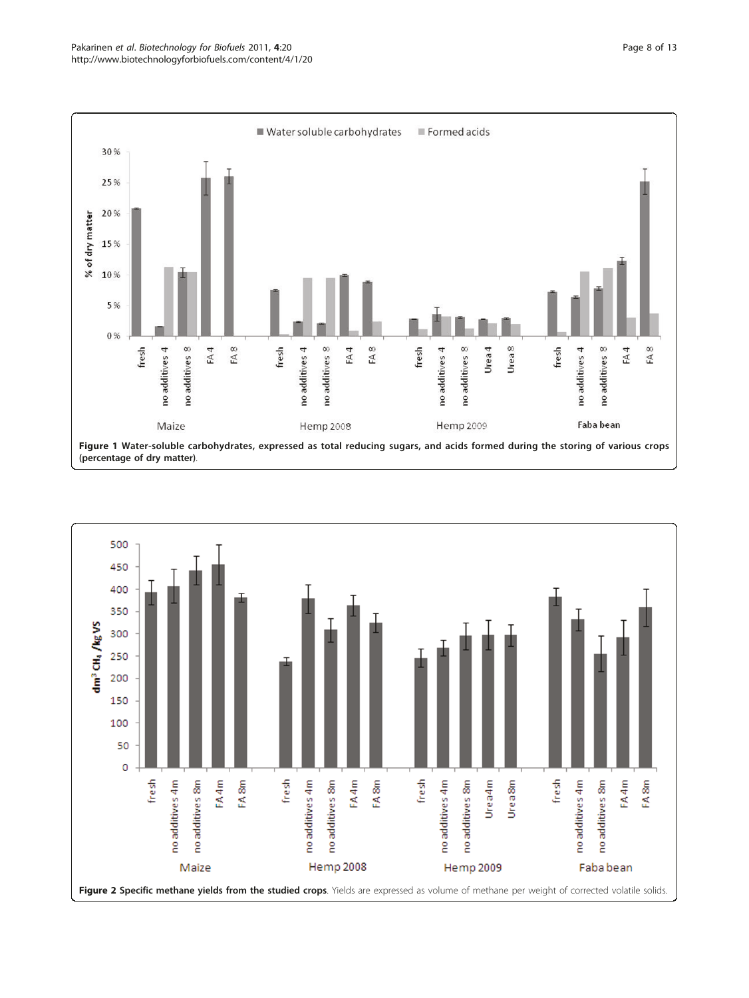<span id="page-7-0"></span>



# Page 8 of 13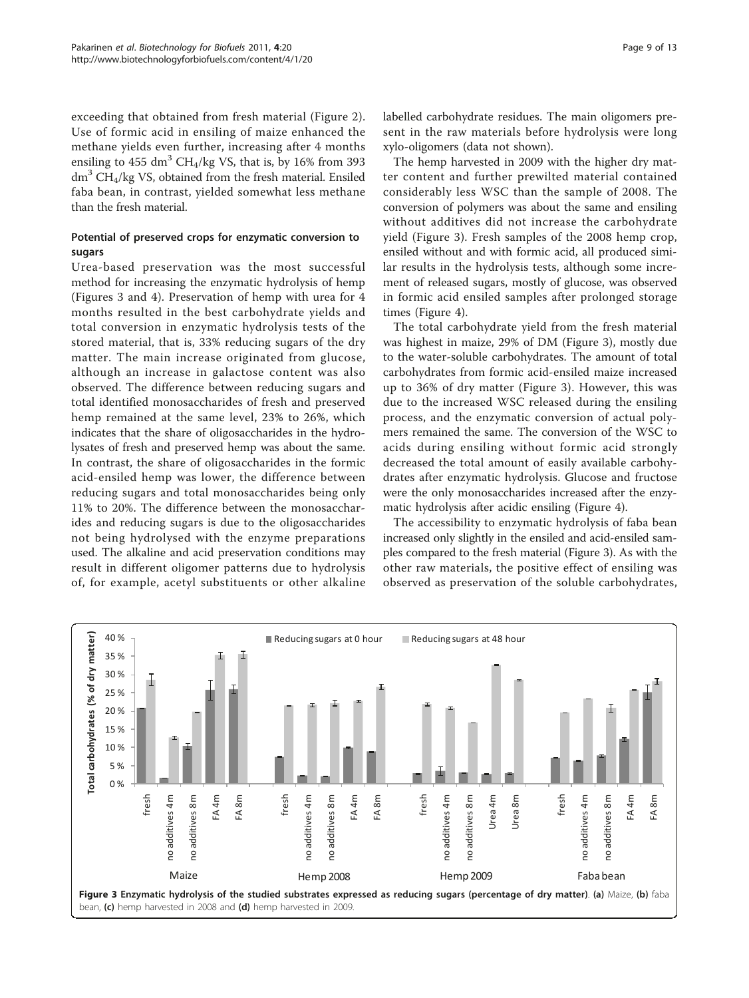exceeding that obtained from fresh material (Figure [2](#page-7-0)). Use of formic acid in ensiling of maize enhanced the methane yields even further, increasing after 4 months ensiling to  $455 \text{ dm}^3 \text{ CH}_4/\text{kg} \text{ VS}$ , that is, by 16% from 393  $dm<sup>3</sup> CH<sub>4</sub>/kg VS$ , obtained from the fresh material. Ensiled faba bean, in contrast, yielded somewhat less methane than the fresh material.

# Potential of preserved crops for enzymatic conversion to sugars

Urea-based preservation was the most successful method for increasing the enzymatic hydrolysis of hemp (Figures 3 and [4](#page-9-0)). Preservation of hemp with urea for 4 months resulted in the best carbohydrate yields and total conversion in enzymatic hydrolysis tests of the stored material, that is, 33% reducing sugars of the dry matter. The main increase originated from glucose, although an increase in galactose content was also observed. The difference between reducing sugars and total identified monosaccharides of fresh and preserved hemp remained at the same level, 23% to 26%, which indicates that the share of oligosaccharides in the hydrolysates of fresh and preserved hemp was about the same. In contrast, the share of oligosaccharides in the formic acid-ensiled hemp was lower, the difference between reducing sugars and total monosaccharides being only 11% to 20%. The difference between the monosaccharides and reducing sugars is due to the oligosaccharides not being hydrolysed with the enzyme preparations used. The alkaline and acid preservation conditions may result in different oligomer patterns due to hydrolysis of, for example, acetyl substituents or other alkaline labelled carbohydrate residues. The main oligomers present in the raw materials before hydrolysis were long xylo-oligomers (data not shown).

The hemp harvested in 2009 with the higher dry matter content and further prewilted material contained considerably less WSC than the sample of 2008. The conversion of polymers was about the same and ensiling without additives did not increase the carbohydrate yield (Figure 3). Fresh samples of the 2008 hemp crop, ensiled without and with formic acid, all produced similar results in the hydrolysis tests, although some increment of released sugars, mostly of glucose, was observed in formic acid ensiled samples after prolonged storage times (Figure [4\)](#page-9-0).

The total carbohydrate yield from the fresh material was highest in maize, 29% of DM (Figure 3), mostly due to the water-soluble carbohydrates. The amount of total carbohydrates from formic acid-ensiled maize increased up to 36% of dry matter (Figure 3). However, this was due to the increased WSC released during the ensiling process, and the enzymatic conversion of actual polymers remained the same. The conversion of the WSC to acids during ensiling without formic acid strongly decreased the total amount of easily available carbohydrates after enzymatic hydrolysis. Glucose and fructose were the only monosaccharides increased after the enzymatic hydrolysis after acidic ensiling (Figure [4](#page-9-0)).

The accessibility to enzymatic hydrolysis of faba bean increased only slightly in the ensiled and acid-ensiled samples compared to the fresh material (Figure 3). As with the other raw materials, the positive effect of ensiling was observed as preservation of the soluble carbohydrates,

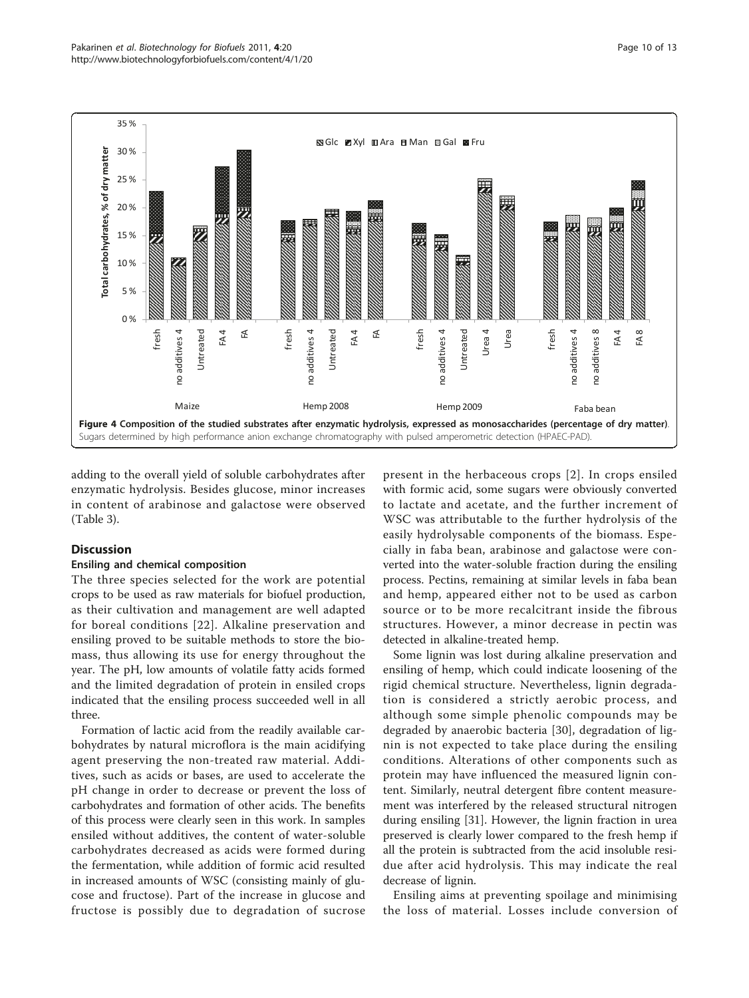<span id="page-9-0"></span>

adding to the overall yield of soluble carbohydrates after enzymatic hydrolysis. Besides glucose, minor increases in content of arabinose and galactose were observed (Table [3\)](#page-5-0).

# **Discussion**

# Ensiling and chemical composition

The three species selected for the work are potential crops to be used as raw materials for biofuel production, as their cultivation and management are well adapted for boreal conditions [[22](#page-12-0)]. Alkaline preservation and ensiling proved to be suitable methods to store the biomass, thus allowing its use for energy throughout the year. The pH, low amounts of volatile fatty acids formed and the limited degradation of protein in ensiled crops indicated that the ensiling process succeeded well in all three.

Formation of lactic acid from the readily available carbohydrates by natural microflora is the main acidifying agent preserving the non-treated raw material. Additives, such as acids or bases, are used to accelerate the pH change in order to decrease or prevent the loss of carbohydrates and formation of other acids. The benefits of this process were clearly seen in this work. In samples ensiled without additives, the content of water-soluble carbohydrates decreased as acids were formed during the fermentation, while addition of formic acid resulted in increased amounts of WSC (consisting mainly of glucose and fructose). Part of the increase in glucose and fructose is possibly due to degradation of sucrose

present in the herbaceous crops [\[2\]](#page-11-0). In crops ensiled with formic acid, some sugars were obviously converted to lactate and acetate, and the further increment of WSC was attributable to the further hydrolysis of the easily hydrolysable components of the biomass. Especially in faba bean, arabinose and galactose were converted into the water-soluble fraction during the ensiling process. Pectins, remaining at similar levels in faba bean and hemp, appeared either not to be used as carbon source or to be more recalcitrant inside the fibrous structures. However, a minor decrease in pectin was detected in alkaline-treated hemp.

Some lignin was lost during alkaline preservation and ensiling of hemp, which could indicate loosening of the rigid chemical structure. Nevertheless, lignin degradation is considered a strictly aerobic process, and although some simple phenolic compounds may be degraded by anaerobic bacteria [[30\]](#page-12-0), degradation of lignin is not expected to take place during the ensiling conditions. Alterations of other components such as protein may have influenced the measured lignin content. Similarly, neutral detergent fibre content measurement was interfered by the released structural nitrogen during ensiling [\[31](#page-12-0)]. However, the lignin fraction in urea preserved is clearly lower compared to the fresh hemp if all the protein is subtracted from the acid insoluble residue after acid hydrolysis. This may indicate the real decrease of lignin.

Ensiling aims at preventing spoilage and minimising the loss of material. Losses include conversion of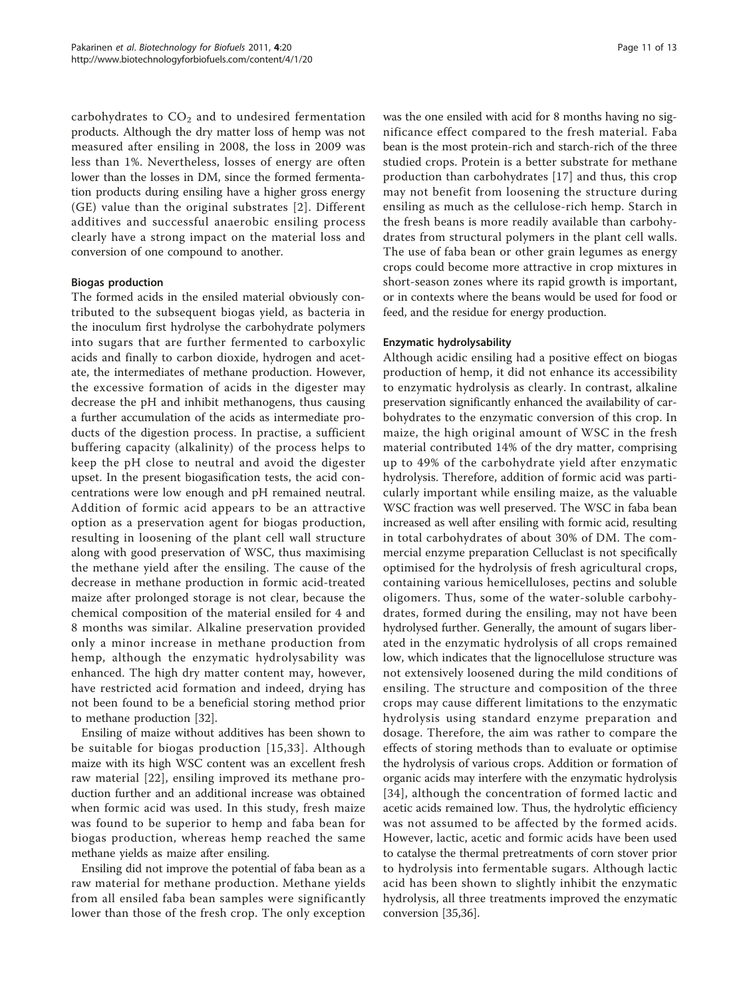carbohydrates to  $CO<sub>2</sub>$  and to undesired fermentation products. Although the dry matter loss of hemp was not measured after ensiling in 2008, the loss in 2009 was less than 1%. Nevertheless, losses of energy are often lower than the losses in DM, since the formed fermentation products during ensiling have a higher gross energy (GE) value than the original substrates [\[2\]](#page-11-0). Different additives and successful anaerobic ensiling process clearly have a strong impact on the material loss and conversion of one compound to another.

# Biogas production

The formed acids in the ensiled material obviously contributed to the subsequent biogas yield, as bacteria in the inoculum first hydrolyse the carbohydrate polymers into sugars that are further fermented to carboxylic acids and finally to carbon dioxide, hydrogen and acetate, the intermediates of methane production. However, the excessive formation of acids in the digester may decrease the pH and inhibit methanogens, thus causing a further accumulation of the acids as intermediate products of the digestion process. In practise, a sufficient buffering capacity (alkalinity) of the process helps to keep the pH close to neutral and avoid the digester upset. In the present biogasification tests, the acid concentrations were low enough and pH remained neutral. Addition of formic acid appears to be an attractive option as a preservation agent for biogas production, resulting in loosening of the plant cell wall structure along with good preservation of WSC, thus maximising the methane yield after the ensiling. The cause of the decrease in methane production in formic acid-treated maize after prolonged storage is not clear, because the chemical composition of the material ensiled for 4 and 8 months was similar. Alkaline preservation provided only a minor increase in methane production from hemp, although the enzymatic hydrolysability was enhanced. The high dry matter content may, however, have restricted acid formation and indeed, drying has not been found to be a beneficial storing method prior to methane production [[32\]](#page-12-0).

Ensiling of maize without additives has been shown to be suitable for biogas production [[15,](#page-11-0)[33](#page-12-0)]. Although maize with its high WSC content was an excellent fresh raw material [[22](#page-12-0)], ensiling improved its methane production further and an additional increase was obtained when formic acid was used. In this study, fresh maize was found to be superior to hemp and faba bean for biogas production, whereas hemp reached the same methane yields as maize after ensiling.

Ensiling did not improve the potential of faba bean as a raw material for methane production. Methane yields from all ensiled faba bean samples were significantly lower than those of the fresh crop. The only exception was the one ensiled with acid for 8 months having no significance effect compared to the fresh material. Faba bean is the most protein-rich and starch-rich of the three studied crops. Protein is a better substrate for methane production than carbohydrates [\[17\]](#page-11-0) and thus, this crop may not benefit from loosening the structure during ensiling as much as the cellulose-rich hemp. Starch in the fresh beans is more readily available than carbohydrates from structural polymers in the plant cell walls. The use of faba bean or other grain legumes as energy crops could become more attractive in crop mixtures in short-season zones where its rapid growth is important, or in contexts where the beans would be used for food or feed, and the residue for energy production.

# Enzymatic hydrolysability

Although acidic ensiling had a positive effect on biogas production of hemp, it did not enhance its accessibility to enzymatic hydrolysis as clearly. In contrast, alkaline preservation significantly enhanced the availability of carbohydrates to the enzymatic conversion of this crop. In maize, the high original amount of WSC in the fresh material contributed 14% of the dry matter, comprising up to 49% of the carbohydrate yield after enzymatic hydrolysis. Therefore, addition of formic acid was particularly important while ensiling maize, as the valuable WSC fraction was well preserved. The WSC in faba bean increased as well after ensiling with formic acid, resulting in total carbohydrates of about 30% of DM. The commercial enzyme preparation Celluclast is not specifically optimised for the hydrolysis of fresh agricultural crops, containing various hemicelluloses, pectins and soluble oligomers. Thus, some of the water-soluble carbohydrates, formed during the ensiling, may not have been hydrolysed further. Generally, the amount of sugars liberated in the enzymatic hydrolysis of all crops remained low, which indicates that the lignocellulose structure was not extensively loosened during the mild conditions of ensiling. The structure and composition of the three crops may cause different limitations to the enzymatic hydrolysis using standard enzyme preparation and dosage. Therefore, the aim was rather to compare the effects of storing methods than to evaluate or optimise the hydrolysis of various crops. Addition or formation of organic acids may interfere with the enzymatic hydrolysis [[34\]](#page-12-0), although the concentration of formed lactic and acetic acids remained low. Thus, the hydrolytic efficiency was not assumed to be affected by the formed acids. However, lactic, acetic and formic acids have been used to catalyse the thermal pretreatments of corn stover prior to hydrolysis into fermentable sugars. Although lactic acid has been shown to slightly inhibit the enzymatic hydrolysis, all three treatments improved the enzymatic conversion [[35](#page-12-0),[36](#page-12-0)].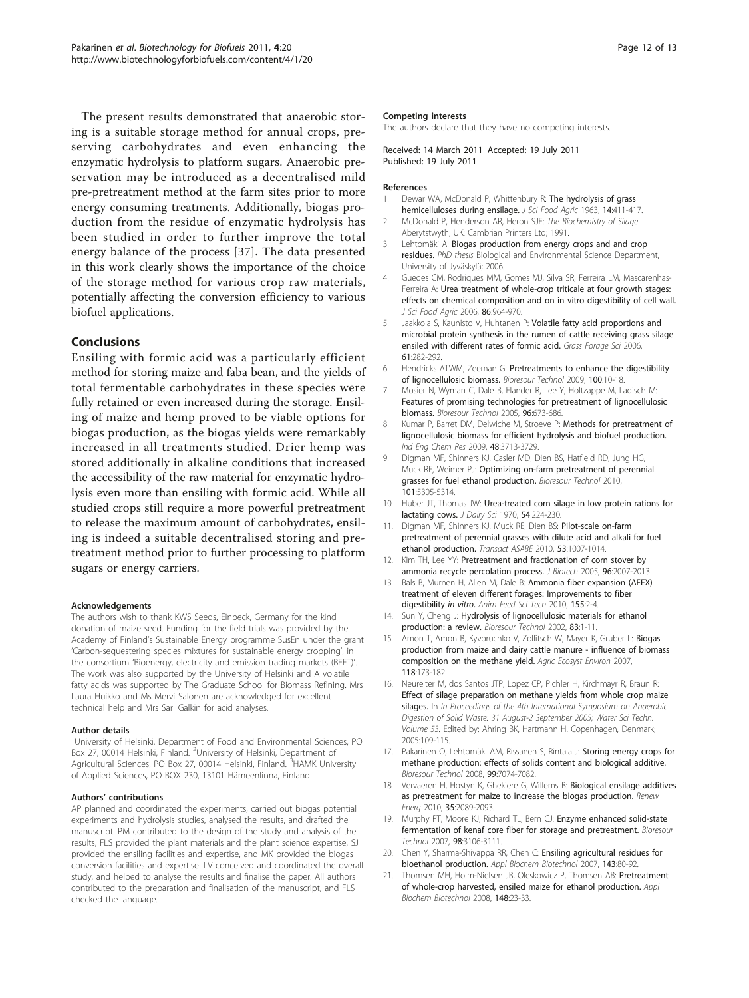<span id="page-11-0"></span>The present results demonstrated that anaerobic storing is a suitable storage method for annual crops, preserving carbohydrates and even enhancing the enzymatic hydrolysis to platform sugars. Anaerobic preservation may be introduced as a decentralised mild pre-pretreatment method at the farm sites prior to more energy consuming treatments. Additionally, biogas production from the residue of enzymatic hydrolysis has been studied in order to further improve the total energy balance of the process [\[37\]](#page-12-0). The data presented in this work clearly shows the importance of the choice of the storage method for various crop raw materials, potentially affecting the conversion efficiency to various biofuel applications.

# Conclusions

Ensiling with formic acid was a particularly efficient method for storing maize and faba bean, and the yields of total fermentable carbohydrates in these species were fully retained or even increased during the storage. Ensiling of maize and hemp proved to be viable options for biogas production, as the biogas yields were remarkably increased in all treatments studied. Drier hemp was stored additionally in alkaline conditions that increased the accessibility of the raw material for enzymatic hydrolysis even more than ensiling with formic acid. While all studied crops still require a more powerful pretreatment to release the maximum amount of carbohydrates, ensiling is indeed a suitable decentralised storing and pretreatment method prior to further processing to platform sugars or energy carriers.

#### Acknowledgements

The authors wish to thank KWS Seeds, Einbeck, Germany for the kind donation of maize seed. Funding for the field trials was provided by the Academy of Finland's Sustainable Energy programme SusEn under the grant 'Carbon-sequestering species mixtures for sustainable energy cropping', in the consortium 'Bioenergy, electricity and emission trading markets (BEET)'. The work was also supported by the University of Helsinki and A volatile fatty acids was supported by The Graduate School for Biomass Refining. Mrs Laura Huikko and Ms Mervi Salonen are acknowledged for excellent technical help and Mrs Sari Galkin for acid analyses.

#### Author details

<sup>1</sup>University of Helsinki, Department of Food and Environmental Sciences, PO Box 27, 00014 Helsinki, Finland. <sup>2</sup>University of Helsinki, Department of Agricultural Sciences, PO Box 27, 00014 Helsinki, Finland. <sup>3</sup>HAMK University of Applied Sciences, PO BOX 230, 13101 Hämeenlinna, Finland.

#### Authors' contributions

AP planned and coordinated the experiments, carried out biogas potential experiments and hydrolysis studies, analysed the results, and drafted the manuscript. PM contributed to the design of the study and analysis of the results, FLS provided the plant materials and the plant science expertise, SJ provided the ensiling facilities and expertise, and MK provided the biogas conversion facilities and expertise. LV conceived and coordinated the overall study, and helped to analyse the results and finalise the paper. All authors contributed to the preparation and finalisation of the manuscript, and FLS checked the language.

#### Competing interests

The authors declare that they have no competing interests.

Received: 14 March 2011 Accepted: 19 July 2011 Published: 19 July 2011

#### References

- 1. Dewar WA, McDonald P, Whittenbury R: The hydrolysis of grass hemicelluloses during ensilage. J Sci Food Agric 1963, 14:411-417.
- 2. McDonald P, Henderson AR, Heron SJE: The Biochemistry of Silage Aberytstwyth, UK: Cambrian Printers Ltd; 1991.
- 3. Lehtomäki A: Biogas production from energy crops and and crop residues. PhD thesis Biological and Environmental Science Department, University of Jyväskylä; 2006.
- 4. Guedes CM, Rodriques MM, Gomes MJ, Silva SR, Ferreira LM, Mascarenhas-Ferreira A: Urea treatment of whole-crop triticale at four growth stages: effects on chemical composition and on in vitro digestibility of cell wall. J Sci Food Agric 2006, 86:964-970.
- 5. Jaakkola S, Kaunisto V, Huhtanen P: Volatile fatty acid proportions and microbial protein synthesis in the rumen of cattle receiving grass silage ensiled with different rates of formic acid. Grass Forage Sci 2006, 61:282-292.
- 6. Hendricks ATWM, Zeeman G: [Pretreatments to enhance the digestibility](http://www.ncbi.nlm.nih.gov/pubmed/18599291?dopt=Abstract) [of lignocellulosic biomass.](http://www.ncbi.nlm.nih.gov/pubmed/18599291?dopt=Abstract) Bioresour Technol 2009, 100:10-18.
- 7. Mosier N, Wyman C, Dale B, Elander R, Lee Y, Holtzappe M, Ladisch M: [Features of promising technologies for pretreatment of lignocellulosic](http://www.ncbi.nlm.nih.gov/pubmed/15588770?dopt=Abstract) [biomass.](http://www.ncbi.nlm.nih.gov/pubmed/15588770?dopt=Abstract) Bioresour Technol 2005, 96:673-686.
- 8. Kumar P, Barret DM, Delwiche M, Stroeve P: Methods for pretreatment of lignocellulosic biomass for efficient hydrolysis and biofuel production. Ind Eng Chem Res 2009, 48:3713-3729.
- Digman MF, Shinners KJ, Casler MD, Dien BS, Hatfield RD, Jung HG, Muck RE, Weimer PJ: [Optimizing on-farm pretreatment of perennial](http://www.ncbi.nlm.nih.gov/pubmed/20202834?dopt=Abstract) [grasses for fuel ethanol production.](http://www.ncbi.nlm.nih.gov/pubmed/20202834?dopt=Abstract) Bioresour Technol 2010, 101:5305-5314.
- 10. Huber JT, Thomas JW: Urea-treated corn silage in low protein rations for lactating cows. J Dairy Sci 1970, 54:224-230.
- 11. Digman MF, Shinners KJ, Muck RE, Dien BS: Pilot-scale on-farm pretreatment of perennial grasses with dilute acid and alkali for fuel ethanol production. Transact ASABE 2010, 53:1007-1014.
- 12. Kim TH, Lee YY: Pretreatment and fractionation of corn stover by ammonia recycle percolation process. J Biotech 2005, 96:2007-2013.
- 13. Bals B, Murnen H, Allen M, Dale B: Ammonia fiber expansion (AFEX) treatment of eleven different forages: Improvements to fiber
- digestibility in vitro. Anim Feed Sci Tech 2010, 155:2-4.<br>14. Sun Y, Cheng J: [Hydrolysis of lignocellulosic materials for ethanol](http://www.ncbi.nlm.nih.gov/pubmed/12058826?dopt=Abstract) [production: a review.](http://www.ncbi.nlm.nih.gov/pubmed/12058826?dopt=Abstract) Bioresour Technol 2002, 83:1-11.
- 15. Amon T, Amon B, Kyvoruchko V, Zollitsch W, Mayer K, Gruber L: Biogas production from maize and dairy cattle manure - influence of biomass composition on the methane yield. Agric Ecosyst Environ 2007, 118:173-182.
- 16. Neureiter M, dos Santos JTP, Lopez CP, Pichler H, Kirchmayr R, Braun R: Effect of silage preparation on methane yields from whole crop maize silages. In In Proceedings of the 4th International Symposium on Anaerobic Digestion of Solid Waste: 31 August-2 September 2005; Water Sci Techn. Volume 53. Edited by: Ahring BK, Hartmann H. Copenhagen, Denmark; 2005:109-115.
- 17. Pakarinen O, Lehtomäki AM, Rissanen S, Rintala J: [Storing energy crops for](http://www.ncbi.nlm.nih.gov/pubmed/18328694?dopt=Abstract) [methane production: effects of solids content and biological additive.](http://www.ncbi.nlm.nih.gov/pubmed/18328694?dopt=Abstract) Bioresour Technol 2008, 99:7074-7082.
- 18. Vervaeren H, Hostyn K, Ghekiere G, Willems B: Biological ensilage additives as pretreatment for maize to increase the biogas production. Renew Energ 2010, 35:2089-2093.
- 19. Murphy PT, Moore KJ, Richard TL, Bern CJ: [Enzyme enhanced solid-state](http://www.ncbi.nlm.nih.gov/pubmed/17222553?dopt=Abstract) [fermentation of kenaf core fiber for storage and pretreatment.](http://www.ncbi.nlm.nih.gov/pubmed/17222553?dopt=Abstract) Bioresour Technol 2007, 98:3106-3111.
- 20. Chen Y, Sharma-Shivappa RR, Chen C: [Ensiling agricultural residues for](http://www.ncbi.nlm.nih.gov/pubmed/18025598?dopt=Abstract) [bioethanol production.](http://www.ncbi.nlm.nih.gov/pubmed/18025598?dopt=Abstract) Appl Biochem Biotechnol 2007, 143:80-92.
- 21. Thomsen MH, Holm-Nielsen JB, Oleskowicz P, Thomsen AB: [Pretreatment](http://www.ncbi.nlm.nih.gov/pubmed/18418738?dopt=Abstract) [of whole-crop harvested, ensiled maize for ethanol production.](http://www.ncbi.nlm.nih.gov/pubmed/18418738?dopt=Abstract) Appl Biochem Biotechnol 2008, 148:23-33.